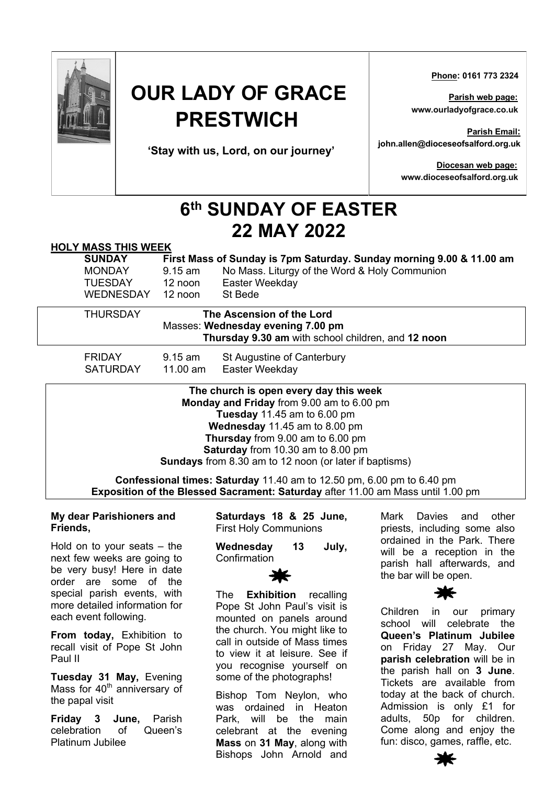

# **OUR LADY OF GRACE PRESTWICH**

**'Stay with us, Lord, on our journey'**

 **Phone: 0161 773 2324**

**Parish web page: www.ourladyofgrace.co.uk**

**Parish Email: john.allen@dioceseofsalford.org.uk**

> **Diocesan web page: www.dioceseofsalford.org.uk**

## **6th SUNDAY OF EASTER 22 MAY 2022**

#### **HOLY MASS THIS WEEK**

| <b>SUNDAY</b>    | First Mass of Sunday is 7pm Saturday. Sunday morning 9.00 & 11.00 am |                                               |
|------------------|----------------------------------------------------------------------|-----------------------------------------------|
| <b>MONDAY</b>    | 9.15 am                                                              | No Mass. Liturgy of the Word & Holy Communion |
| <b>TUESDAY</b>   | 12 noon                                                              | Easter Weekday                                |
| <b>WEDNESDAY</b> | $12 \text{ noon}$                                                    | St Bede                                       |
| <b>THURSDAY</b>  | The Ascension of the Lord                                            |                                               |
|                  | Masses: Wednesday evening 7.00 pm                                    |                                               |

**Thursday 9.30 am** with school children, and **12 noon**

FRIDAY 9.15 am St Augustine of Canterbury SATURDAY 11.00 am Easter Weekday

> **The church is open every day this week Monday and Friday** from 9.00 am to 6.00 pm **Tuesday** 11.45 am to 6.00 pm **Wednesday** 11.45 am to 8.00 pm **Thursday** from 9.00 am to 6.00 pm **Saturday** from 10.30 am to 8.00 pm **Sundays** from 8.30 am to 12 noon (or later if baptisms)

**Confessional times: Saturday** 11.40 am to 12.50 pm, 6.00 pm to 6.40 pm **Exposition of the Blessed Sacrament: Saturday** after 11.00 am Mass until 1.00 pm

#### **My dear Parishioners and Friends,**

Hold on to your seats – the next few weeks are going to be very busy! Here in date order are some of the special parish events, with more detailed information for each event following.

**From today,** Exhibition to recall visit of Pope St John Paul II

**Tuesday 31 May,** Evening Mass for 40<sup>th</sup> anniversary of the papal visit

**Friday 3 June,** Parish celebration of Queen's Platinum Jubilee

**Saturdays 18 & 25 June,**  First Holy Communions

**Wednesday 13 July,**  Confirmation



The **Exhibition** recalling Pope St John Paul's visit is mounted on panels around the church. You might like to call in outside of Mass times to view it at leisure. See if you recognise yourself on some of the photographs!

Bishop Tom Neylon, who was ordained in Heaton Park, will be the main celebrant at the evening **Mass** on **31 May**, along with Bishops John Arnold and

Mark Davies and other priests, including some also ordained in the Park. There will be a reception in the parish hall afterwards, and the bar will be open.



Children in our primary school will celebrate the **Queen's Platinum Jubilee** on Friday 27 May. Our **parish celebration** will be in the parish hall on **3 June**. Tickets are available from today at the back of church. Admission is only £1 for adults, 50p for children. Come along and enjoy the fun: disco, games, raffle, etc.